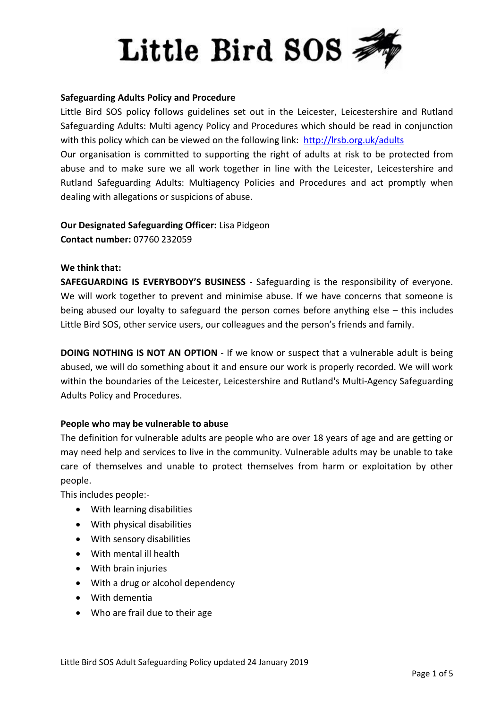# Little Bird SOS

## **Safeguarding Adults Policy and Procedure**

Little Bird SOS policy follows guidelines set out in the Leicester, Leicestershire and Rutland Safeguarding Adults: Multi agency Policy and Procedures which should be read in conjunction with this policy which can be viewed on the following link: <http://lrsb.org.uk/adults>

Our organisation is committed to supporting the right of adults at risk to be protected from abuse and to make sure we all work together in line with the Leicester, Leicestershire and Rutland Safeguarding Adults: Multiagency Policies and Procedures and act promptly when dealing with allegations or suspicions of abuse.

**Our Designated Safeguarding Officer:** Lisa Pidgeon **Contact number:** 07760 232059

#### **We think that:**

**SAFEGUARDING IS EVERYBODY'S BUSINESS** - Safeguarding is the responsibility of everyone. We will work together to prevent and minimise abuse. If we have concerns that someone is being abused our loyalty to safeguard the person comes before anything else – this includes Little Bird SOS, other service users, our colleagues and the person's friends and family.

**DOING NOTHING IS NOT AN OPTION** - If we know or suspect that a vulnerable adult is being abused, we will do something about it and ensure our work is properly recorded. We will work within the boundaries of the Leicester, Leicestershire and Rutland's Multi-Agency Safeguarding Adults Policy and Procedures.

## **People who may be vulnerable to abuse**

The definition for vulnerable adults are people who are over 18 years of age and are getting or may need help and services to live in the community. Vulnerable adults may be unable to take care of themselves and unable to protect themselves from harm or exploitation by other people.

This includes people:-

- With learning disabilities
- With physical disabilities
- With sensory disabilities
- With mental ill health
- With brain injuries
- With a drug or alcohol dependency
- With dementia
- Who are frail due to their age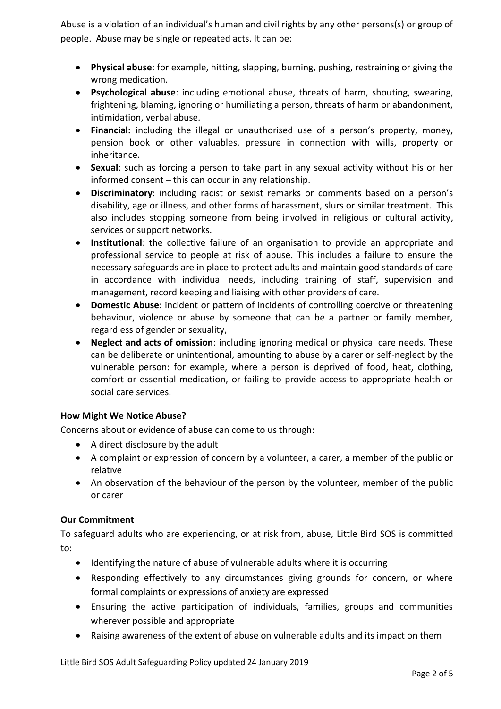Abuse is a violation of an individual's human and civil rights by any other persons(s) or group of people. Abuse may be single or repeated acts. It can be:

- **Physical abuse**: for example, hitting, slapping, burning, pushing, restraining or giving the wrong medication.
- **Psychological abuse**: including emotional abuse, threats of harm, shouting, swearing, frightening, blaming, ignoring or humiliating a person, threats of harm or abandonment, intimidation, verbal abuse.
- **Financial:** including the illegal or unauthorised use of a person's property, money, pension book or other valuables, pressure in connection with wills, property or inheritance.
- **Sexual**: such as forcing a person to take part in any sexual activity without his or her informed consent – this can occur in any relationship.
- **Discriminatory**: including racist or sexist remarks or comments based on a person's disability, age or illness, and other forms of harassment, slurs or similar treatment. This also includes stopping someone from being involved in religious or cultural activity, services or support networks.
- **Institutional**: the collective failure of an organisation to provide an appropriate and professional service to people at risk of abuse. This includes a failure to ensure the necessary safeguards are in place to protect adults and maintain good standards of care in accordance with individual needs, including training of staff, supervision and management, record keeping and liaising with other providers of care.
- **Domestic Abuse**: incident or pattern of incidents of controlling coercive or threatening behaviour, violence or abuse by someone that can be a partner or family member, regardless of gender or sexuality,
- **Neglect and acts of omission**: including ignoring medical or physical care needs. These can be deliberate or unintentional, amounting to abuse by a carer or self-neglect by the vulnerable person: for example, where a person is deprived of food, heat, clothing, comfort or essential medication, or failing to provide access to appropriate health or social care services.

# **How Might We Notice Abuse?**

Concerns about or evidence of abuse can come to us through:

- A direct disclosure by the adult
- A complaint or expression of concern by a volunteer, a carer, a member of the public or relative
- An observation of the behaviour of the person by the volunteer, member of the public or carer

# **Our Commitment**

To safeguard adults who are experiencing, or at risk from, abuse, Little Bird SOS is committed to:

- Identifying the nature of abuse of vulnerable adults where it is occurring
- Responding effectively to any circumstances giving grounds for concern, or where formal complaints or expressions of anxiety are expressed
- Ensuring the active participation of individuals, families, groups and communities wherever possible and appropriate
- Raising awareness of the extent of abuse on vulnerable adults and its impact on them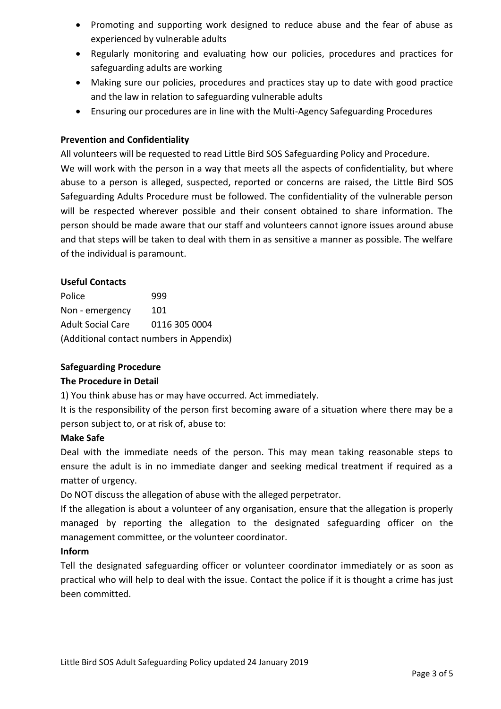- Promoting and supporting work designed to reduce abuse and the fear of abuse as experienced by vulnerable adults
- Regularly monitoring and evaluating how our policies, procedures and practices for safeguarding adults are working
- Making sure our policies, procedures and practices stay up to date with good practice and the law in relation to safeguarding vulnerable adults
- Ensuring our procedures are in line with the Multi-Agency Safeguarding Procedures

# **Prevention and Confidentiality**

All volunteers will be requested to read Little Bird SOS Safeguarding Policy and Procedure.

We will work with the person in a way that meets all the aspects of confidentiality, but where abuse to a person is alleged, suspected, reported or concerns are raised, the Little Bird SOS Safeguarding Adults Procedure must be followed. The confidentiality of the vulnerable person will be respected wherever possible and their consent obtained to share information. The person should be made aware that our staff and volunteers cannot ignore issues around abuse and that steps will be taken to deal with them in as sensitive a manner as possible. The welfare of the individual is paramount.

# **Useful Contacts**

Police 999 Non - emergency 101 Adult Social Care 0116 305 0004 (Additional contact numbers in Appendix)

# **Safeguarding Procedure**

# **The Procedure in Detail**

1) You think abuse has or may have occurred. Act immediately.

It is the responsibility of the person first becoming aware of a situation where there may be a person subject to, or at risk of, abuse to:

## **Make Safe**

Deal with the immediate needs of the person. This may mean taking reasonable steps to ensure the adult is in no immediate danger and seeking medical treatment if required as a matter of urgency.

Do NOT discuss the allegation of abuse with the alleged perpetrator.

If the allegation is about a volunteer of any organisation, ensure that the allegation is properly managed by reporting the allegation to the designated safeguarding officer on the management committee, or the volunteer coordinator.

## **Inform**

Tell the designated safeguarding officer or volunteer coordinator immediately or as soon as practical who will help to deal with the issue. Contact the police if it is thought a crime has just been committed.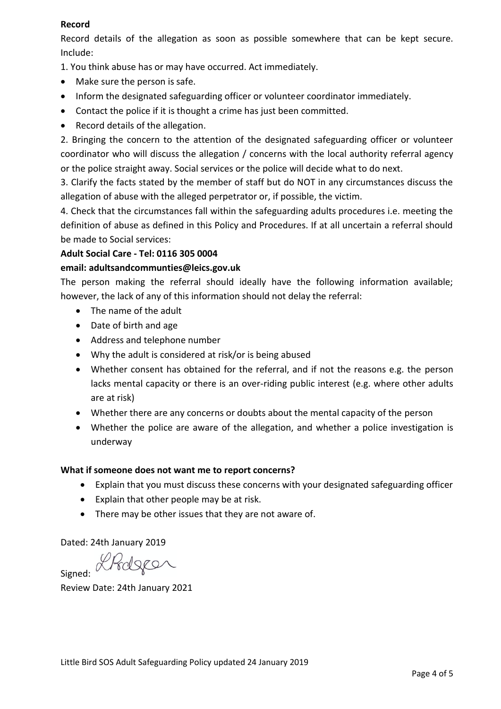# **Record**

Record details of the allegation as soon as possible somewhere that can be kept secure. Include:

1. You think abuse has or may have occurred. Act immediately.

- Make sure the person is safe.
- Inform the designated safeguarding officer or volunteer coordinator immediately.
- Contact the police if it is thought a crime has just been committed.
- Record details of the allegation.

2. Bringing the concern to the attention of the designated safeguarding officer or volunteer coordinator who will discuss the allegation / concerns with the local authority referral agency or the police straight away. Social services or the police will decide what to do next.

3. Clarify the facts stated by the member of staff but do NOT in any circumstances discuss the allegation of abuse with the alleged perpetrator or, if possible, the victim.

4. Check that the circumstances fall within the safeguarding adults procedures i.e. meeting the definition of abuse as defined in this Policy and Procedures. If at all uncertain a referral should be made to Social services:

# **Adult Social Care - Tel: 0116 305 0004**

## **email: adultsandcommunties@leics.gov.uk**

The person making the referral should ideally have the following information available; however, the lack of any of this information should not delay the referral:

- The name of the adult
- Date of birth and age
- Address and telephone number
- Why the adult is considered at risk/or is being abused
- Whether consent has obtained for the referral, and if not the reasons e.g. the person lacks mental capacity or there is an over-riding public interest (e.g. where other adults are at risk)
- Whether there are any concerns or doubts about the mental capacity of the person
- Whether the police are aware of the allegation, and whether a police investigation is underway

# **What if someone does not want me to report concerns?**

- Explain that you must discuss these concerns with your designated safeguarding officer
- Explain that other people may be at risk.
- There may be other issues that they are not aware of.

Dated: 24th January 2019

Signed: Prologer

Review Date: 24th January 2021